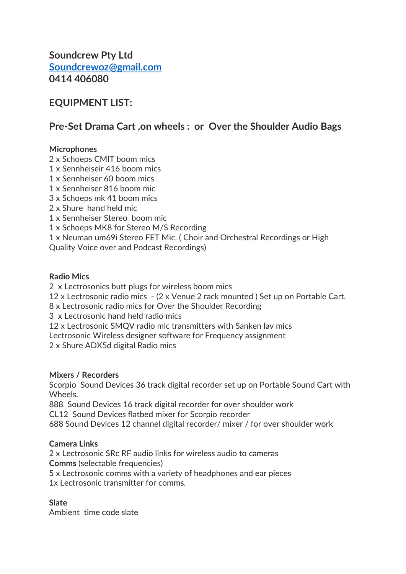Soundcrew Pty Ltd Soundcrewoz@gmail.com 0414 406080

# EQUIPMENT LIST:

# Pre-Set Drama Cart ,on wheels : or Over the Shoulder Audio Bags

### **Microphones**

2 x Schoeps CMIT boom mics

- 1 x Sennheiseir 416 boom mics
- 1 x Sennheiser 60 boom mics
- 1 x Sennheiser 816 boom mic
- 3 x Schoeps mk 41 boom mics
- 2 x Shure hand held mic
- 1 x Sennheiser Stereo boom mic
- 1 x Schoeps MK8 for Stereo M/S Recording
- 1 x Neuman um69i Stereo FET Mic. ( Choir and Orchestral Recordings or High

Quality Voice over and Podcast Recordings)

#### Radio Mics

2 x Lectrosonics butt plugs for wireless boom mics

12 x Lectrosonic radio mics - (2 x Venue 2 rack mounted ) Set up on Portable Cart.

8 x Lectrosonic radio mics for Over the Shoulder Recording

3 x Lectrosonic hand held radio mics

12 x Lectrosonic SMQV radio mic transmitters with Sanken lav mics

Lectrosonic Wireless designer software for Frequency assignment

2 x Shure ADX5d digital Radio mics

#### Mixers / Recorders

Scorpio Sound Devices 36 track digital recorder set up on Portable Sound Cart with Wheels.

888 Sound Devices 16 track digital recorder for over shoulder work CL12 Sound Devices flatbed mixer for Scorpio recorder

688 Sound Devices 12 channel digital recorder/ mixer / for over shoulder work

### Camera Links

2 x Lectrosonic SRc RF audio links for wireless audio to cameras Comms (selectable frequencies)

5 x Lectrosonic comms with a variety of headphones and ear pieces

1x Lectrosonic transmitter for comms.

### Slate

Ambient time code slate